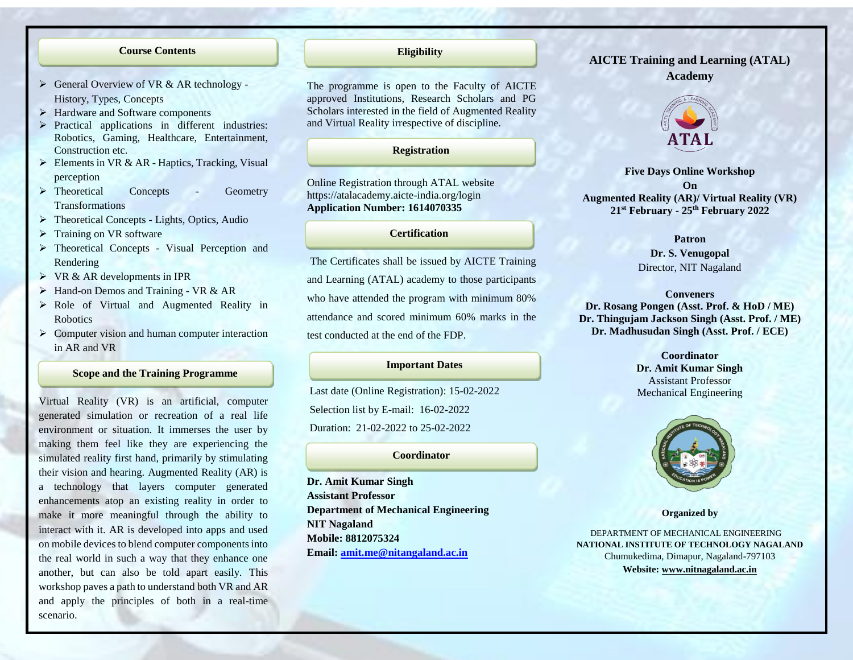### **Course Contents**

- $\triangleright$  General Overview of VR & AR technology -History, Types, Concepts
- Hardware and Software components

Į

- $\triangleright$  Practical applications in different industries: Robotics, Gaming, Healthcare, Entertainment, Construction etc.
- $\triangleright$  Elements in VR & AR Haptics, Tracking, Visual perception
- > Theoretical Concepts Geometry Transformations
- > Theoretical Concepts Lights, Optics, Audio
- $\triangleright$  Training on VR software
- > Theoretical Concepts Visual Perception and Rendering
- $\triangleright$  VR & AR developments in IPR
- $\triangleright$  Hand-on Demos and Training VR & AR
- Role of Virtual and Augmented Reality in Robotics
- $\triangleright$  Computer vision and human computer interaction in AR and VR

### **Scope and the Training Programme**

Virtual Reality (VR) is an artificial, computer generated simulation or recreation of a real life environment or situation. It immerses the user by making them feel like they are experiencing the simulated reality first hand, primarily by stimulating their vision and hearing. Augmented Reality (AR) is a technology that layers computer generated enhancements atop an existing reality in order to make it more meaningful through the ability to interact with it. AR is developed into apps and used on mobile devices to blend computer components into the real world in such a way that they enhance one another, but can also be told apart easily. This workshop paves a path to understand both VR and AR and apply the principles of both in a real-time scenario.

# **Eligibility**

The programme is open to the Faculty of AICTE approved Institutions, Research Scholars and PG Scholars interested in the field of Augmented Reality and Virtual Reality irrespective of discipline.

## **Registration**

Online Registration through ATAL website https://atalacademy.aicte-india.org/login **Application Number: 1614070335**

## **Certification**

The Certificates shall be issued by AICTE Training and Learning (ATAL) academy to those participants who have attended the program with minimum 80% attendance and scored minimum 60% marks in the test conducted at the end of the FDP.

### **Important Dates**

Last date (Online Registration): 15-02-2022 Selection list by E-mail: 16-02-2022 Duration: 21-02-2022 to 25-02-2022

### **Coordinator**

**Dr. Amit Kumar Singh Assistant Professor Department of Mechanical Engineering NIT Nagaland Mobile: 8812075324 Email: [amit.me@nitangaland.ac.in](mailto:amit.me@nitangaland.ac.in)**

# **AICTE Training and Learning (ATAL) Academy**



**Five Days Online Workshop On Augmented Reality (AR)/ Virtual Reality (VR) 21st February - 25th February 2022**

#### **Patron**

**Dr. S. Venugopal** Director, NIT Nagaland

#### **Conveners**

**Dr. Rosang Pongen (Asst. Prof. & HoD / ME) Dr. Thingujam Jackson Singh (Asst. Prof. / ME) Dr. Madhusudan Singh (Asst. Prof. / ECE)**

# **Coordinator Dr. Amit Kumar Singh** Assistant Professor Mechanical Engineering



**Organized by**

 DEPARTMENT OF MECHANICAL ENGINEERING **NATIONAL INSTITUTE OF TECHNOLOGY NAGALAND** Chumukedima, Dimapur, Nagaland-797103 **Website[: www.nitnagaland.ac.in](http://www.nitnagaland.ac.in/)**